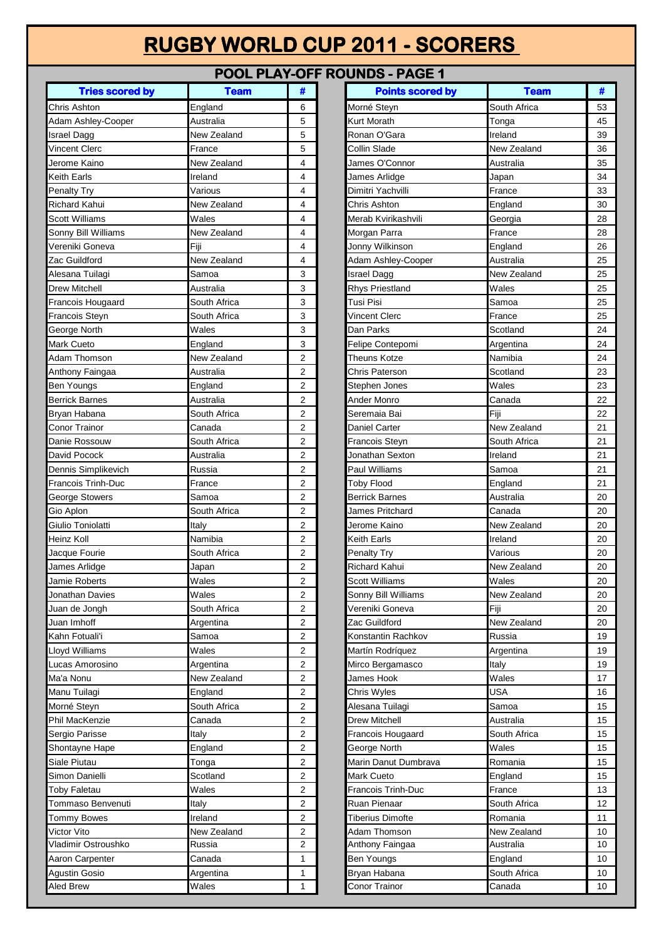## **RUGBY WORLD CUP 2011 - SCORERS**

## **POOL PLAY-OFF ROUNDS - PAGE 1**

| <b>Tries scored by</b>    | <b>Team</b>  | #              | <b>Points scored by</b> | <b>Team</b>  | #  |
|---------------------------|--------------|----------------|-------------------------|--------------|----|
| Chris Ashton              | England      | 6              | Morné Steyn             | South Africa | 53 |
| Adam Ashley-Cooper        | Australia    | 5              | <b>Kurt Morath</b>      | Tonga        | 45 |
| <b>Israel Dagg</b>        | New Zealand  | 5              | Ronan O'Gara            | Ireland      | 39 |
| <b>Vincent Clerc</b>      | France       | 5              | Collin Slade            | New Zealand  | 36 |
| Jerome Kaino              | New Zealand  | 4              | James O'Connor          | Australia    | 35 |
| <b>Keith Earls</b>        | Ireland      | 4              | James Arlidge           | Japan        | 34 |
| Penalty Try               | Various      | 4              | Dimitri Yachvilli       | France       | 33 |
| <b>Richard Kahui</b>      | New Zealand  | 4              | Chris Ashton            | England      | 30 |
| <b>Scott Williams</b>     | Wales        | 4              | Merab Kvirikashvili     | Georgia      | 28 |
| Sonny Bill Williams       | New Zealand  | 4              | Morgan Parra            | France       | 28 |
| Vereniki Goneva           | Fiji         | 4              | Jonny Wilkinson         | England      | 26 |
| Zac Guildford             | New Zealand  | 4              | Adam Ashley-Cooper      | Australia    | 25 |
| Alesana Tuilagi           | Samoa        | 3              | Israel Dagg             | New Zealand  | 25 |
| Drew Mitchell             | Australia    | 3              | Rhys Priestland         | Wales        | 25 |
| Francois Hougaard         | South Africa | 3              | Tusi Pisi               | Samoa        | 25 |
| Francois Steyn            | South Africa | 3              | Vincent Clerc           | France       | 25 |
| George North              | Wales        | 3              | Dan Parks               | Scotland     | 24 |
| <b>Mark Cueto</b>         | England      | 3              | Felipe Contepomi        | Argentina    | 24 |
| Adam Thomson              | New Zealand  | $\overline{2}$ | Theuns Kotze            | Namibia      | 24 |
| Anthony Faingaa           | Australia    | 2              | Chris Paterson          | Scotland     | 23 |
| Ben Youngs                | England      | 2              | Stephen Jones           | Wales        | 23 |
| <b>Berrick Barnes</b>     | Australia    | 2              | Ander Monro             | Canada       | 22 |
| Bryan Habana              | South Africa | $\overline{2}$ | Seremaia Bai            | Fiji         | 22 |
| Conor Trainor             | Canada       | 2              | <b>Daniel Carter</b>    | New Zealand  | 21 |
| Danie Rossouw             | South Africa | $\overline{2}$ | Francois Steyn          | South Africa | 21 |
| David Pocock              | Australia    | $\overline{2}$ | Jonathan Sexton         | Ireland      | 21 |
| Dennis Simplikevich       | Russia       | $\overline{2}$ | Paul Williams           | Samoa        | 21 |
| <b>Francois Trinh-Duc</b> | France       | 2              | <b>Toby Flood</b>       | England      | 21 |
| <b>George Stowers</b>     | Samoa        | $\overline{2}$ | <b>Berrick Barnes</b>   | Australia    | 20 |
| Gio Aplon                 | South Africa | 2              | James Pritchard         | Canada       | 20 |
| Giulio Toniolatti         | Italy        | $\overline{2}$ | Jerome Kaino            | New Zealand  | 20 |
| Heinz Koll                | Namibia      | 2              | <b>Keith Earls</b>      | Ireland      | 20 |
| Jacque Fourie             | South Africa | 2              | <b>Penalty Try</b>      | Various      | 20 |
| James Arlidge             | Japan        | 2              | Richard Kahui           | New Zealand  | 20 |
| Jamie Roberts             | Wales        | 2              | <b>Scott Williams</b>   | Wales        | 20 |
| Jonathan Davies           | Wales        | 2              | Sonny Bill Williams     | New Zealand  | 20 |
| Juan de Jongh             | South Africa | 2              | Vereniki Goneva         | Fiji         | 20 |
| Juan Imhoff               | Argentina    | $\overline{2}$ | Zac Guildford           | New Zealand  | 20 |
| Kahn Fotuali'i            | Samoa        | 2              | Konstantin Rachkov      | Russia       | 19 |
| Lloyd Williams            | Wales        | 2              | Martín Rodríquez        | Argentina    | 19 |
| Lucas Amorosino           | Argentina    | 2              | Mirco Bergamasco        | Italy        | 19 |
| Ma'a Nonu                 | New Zealand  | 2              | James Hook              | Wales        | 17 |
| Manu Tuilagi              | England      | 2              | Chris Wyles             | USA          | 16 |
| Morné Steyn               | South Africa | $\overline{2}$ | Alesana Tuilagi         | Samoa        | 15 |
| Phil MacKenzie            | Canada       | 2              | Drew Mitchell           | Australia    | 15 |
| Sergio Parisse            | Italy        | 2              | Francois Hougaard       | South Africa | 15 |
| Shontayne Hape            | England      | $\overline{2}$ | George North            | Wales        | 15 |
| Siale Piutau              | Tonga        | 2              | Marin Danut Dumbrava    | Romania      | 15 |
| Simon Danielli            | Scotland     | 2              | <b>Mark Cueto</b>       | England      | 15 |
| <b>Toby Faletau</b>       | Wales        | $\overline{2}$ | Francois Trinh-Duc      | France       | 13 |
| Tommaso Benvenuti         | Italy        | 2              | Ruan Pienaar            | South Africa | 12 |
| <b>Tommy Bowes</b>        | Ireland      | 2              | <b>Tiberius Dimofte</b> | Romania      | 11 |
| Victor Vito               | New Zealand  | 2              | Adam Thomson            | New Zealand  | 10 |
| Vladimir Ostroushko       | Russia       | 2              | Anthony Faingaa         | Australia    | 10 |
| Aaron Carpenter           | Canada       | 1              | <b>Ben Youngs</b>       | England      | 10 |
| <b>Agustin Gosio</b>      | Argentina    | 1              | Bryan Habana            | South Africa | 10 |
| <b>Aled Brew</b>          | Wales        | 1              | Conor Trainor           | Canada       | 10 |
|                           |              |                |                         |              |    |

| <b>Tries scored by</b> | <b>Team</b>            | #              | <b>Points scored by</b>        | <b>Team</b>       | #        |
|------------------------|------------------------|----------------|--------------------------------|-------------------|----------|
| shton                  | England                | 6              | Morné Steyn                    | South Africa      | 53       |
| shley-Cooper           | Australia              | 5              | Kurt Morath                    | Tonga             | 45       |
| agg                    | New Zealand            | 5              | Ronan O'Gara                   | Ireland           | 39       |
| Clerc                  | France                 | 5              | Collin Slade                   | New Zealand       | 36       |
| Kaino                  | New Zealand            | 4              | James O'Connor                 | Australia         | 35       |
| arls                   | Ireland                | 4              | James Arlidge                  | Japan             | 34       |
| <b>Try</b>             | Various                | 4              | Dimitri Yachvilli              | France            | 33       |
| Kahui                  | New Zealand            | 4              | Chris Ashton                   | England           | 30       |
| 'illiams               | Wales                  | 4              | Merab Kvirikashvili            | Georgia           | 28       |
| 3ill Williams          | New Zealand            | 4              | Morgan Parra                   | France            | 28       |
| i Goneva               | Fiji                   | 4              | Jonny Wilkinson                | England           | 26       |
| Idford                 | New Zealand            | 4              | Adam Ashley-Cooper             | Australia         | 25       |
| ı Tuilagi              | Samoa                  | 3              | <b>Israel Dagg</b>             | New Zealand       | 25       |
| itchell                | Australia              | 3              | <b>Rhys Priestland</b>         | Wales             | 25       |
| s Hougaard             | South Africa           | 3              | Tusi Pisi                      | Samoa             | 25       |
| s Steyn                | South Africa           | 3              | <b>Vincent Clerc</b>           | France            | 25       |
| North                  | Wales                  | 3              | Dan Parks                      | Scotland          | 24       |
| ueto                   | England                | 3              | Felipe Contepomi               | Argentina         | 24       |
| homson                 | New Zealand            | 2              | <b>Theuns Kotze</b>            | Namibia           | 24       |
| / Faingaa              | Australia              | 2              | Chris Paterson                 | Scotland          | 23       |
| ungs                   | England                | 2              | Stephen Jones                  | Wales             | 23       |
| <b>Barnes</b>          | Australia              | 2              | Ander Monro                    | Canada            | 22       |
| labana                 | South Africa           | 2              | Seremaia Bai                   | Fiji              | 22       |
| rainor                 | Canada                 | 2              | Daniel Carter                  | New Zealand       | 21       |
| ossouw!                | South Africa           | 2              | <b>Francois Steyn</b>          | South Africa      | 21       |
| ocock                  | Australia              | 2              | Jonathan Sexton                | Ireland           | 21       |
| Simplikevich           | Russia                 | 2              | Paul Williams                  | Samoa             | 21       |
| s Trinh-Duc            | France                 | $\overline{2}$ | <b>Toby Flood</b>              | England           | 21       |
| <b>Stowers</b>         | Samoa                  | 2              | Berrick Barnes                 | Australia         | 20       |
| on                     | South Africa           | 2              | James Pritchard                | Canada            | 20       |
| oniolatti              | Italy                  | 2              | Jerome Kaino                   | New Zealand       | 20       |
| llo.                   | Namibia                | 2              | Keith Earls                    | Ireland           | 20       |
| Fourie                 | South Africa           | 2              | Penalty Try                    | Various           | 20       |
| Arlidge                | Japan                  | 2              | Richard Kahui                  | New Zealand       | 20       |
| oberts?                | Wales                  | 2              | Scott Williams                 | Wales             | 20       |
| ın Davies              | Wales                  | 2              | Sonny Bill Williams            | New Zealand       | 20       |
| Jongh                  | South Africa           | 2              | Vereniki Goneva                | Fiji              | 20       |
| ıhoff                  | Argentina              | 2              | Zac Guildford                  | New Zealand       | 20       |
| ptuali'i               | Samoa                  | 2<br>2         | Konstantin Rachkov             | Russia            | 19       |
| lliams                 | Wales                  | 2              | Martín Rodríquez               | Argentina         | 19<br>19 |
| morosino،              | Argentina              |                | Mirco Bergamasco               | Italy<br>Wales    |          |
| วทน                    | New Zealand<br>England | 2              | James Hook                     | USA               | 17<br>16 |
| uilagi                 | South Africa           | 2<br>2         | Chris Wyles<br>Alesana Tuilagi | Samoa             | 15       |
| 3teyn                  | Canada                 | 2              | Drew Mitchell                  | Australia         | 15       |
| cKenzie<br>Parisse     | Italy                  | 2              | Francois Hougaard              | South Africa      | 15       |
| ne Hape                | England                | 2              | George North                   | Wales             | 15       |
| utau                   | Tonga                  | 2              | Marin Danut Dumbrava           | Romania           | 15       |
| <b>Danielli</b>        | Scotland               |                | Mark Cueto                     |                   | 15       |
| aletau                 | Wales                  | 2<br>2         | Francois Trinh-Duc             | England<br>France | 13       |
| so Benvenuti           | Italy                  | 2              | Ruan Pienaar                   | South Africa      | 12       |
|                        | Ireland                | 2              | <b>Tiberius Dimofte</b>        | Romania           | 11       |
| <b>Bowes</b><br>'ito   | New Zealand            | 2              | Adam Thomson                   | New Zealand       | 10       |
| r Ostroushko           | Russia                 | 2              | Anthony Faingaa                | Australia         | 10       |
| carpenter              | Canada                 | 1              | <b>Ben Youngs</b>              | England           | 10       |
| Gosio                  | Argentina              | 1              | Bryan Habana                   | South Africa      | 10       |
| ЭW                     | Wales                  | 1              | Conor Trainor                  | Canada            | 10       |
|                        |                        |                |                                |                   |          |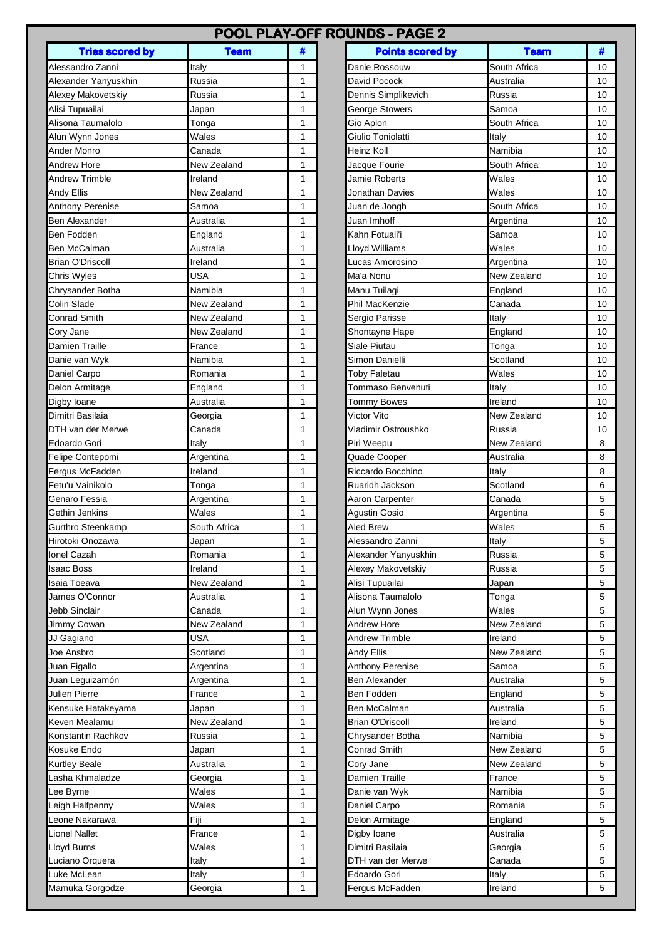| POOL PLAY-OFF ROUNDS - PAGE 2    |                     |              |                         |              |        |  |  |  |  |
|----------------------------------|---------------------|--------------|-------------------------|--------------|--------|--|--|--|--|
| <b>Tries scored by</b>           | <b>Team</b>         | #            | <b>Points scored by</b> | <b>Team</b>  | #      |  |  |  |  |
| Alessandro Zanni                 | Italy               | 1            | Danie Rossouw           | South Africa | 10     |  |  |  |  |
| Alexander Yanyuskhin             | Russia              | $\mathbf{1}$ | David Pocock            | Australia    | 10     |  |  |  |  |
| Alexey Makovetskiy               | Russia              | 1            | Dennis Simplikevich     | Russia       | 10     |  |  |  |  |
| Alisi Tupuailai                  | Japan               | 1            | <b>George Stowers</b>   | Samoa        | 10     |  |  |  |  |
| Alisona Taumalolo                | Tonga               | 1            | Gio Aplon               | South Africa | 10     |  |  |  |  |
| Alun Wynn Jones                  | Wales               | 1            | Giulio Toniolatti       | Italy        | 10     |  |  |  |  |
| Ander Monro                      | Canada              | 1            | Heinz Koll              | Namibia      | 10     |  |  |  |  |
| Andrew Hore                      | New Zealand         | 1            | Jacque Fourie           | South Africa | 10     |  |  |  |  |
| <b>Andrew Trimble</b>            | Ireland             | $\mathbf{1}$ | Jamie Roberts           | Wales        | 10     |  |  |  |  |
| Andy Ellis                       | New Zealand         | 1            | Jonathan Davies         | Wales        | 10     |  |  |  |  |
| Anthony Perenise                 | Samoa               | 1            | Juan de Jongh           | South Africa | 10     |  |  |  |  |
| <b>Ben Alexander</b>             | Australia           | $\mathbf{1}$ | Juan Imhoff             | Argentina    | 10     |  |  |  |  |
| Ben Fodden                       | England             | 1            | Kahn Fotuali'i          | Samoa        | 10     |  |  |  |  |
| Ben McCalman                     | Australia           | 1            | Lloyd Williams          | Wales        | 10     |  |  |  |  |
| <b>Brian O'Driscoll</b>          | Ireland             | $\mathbf{1}$ | Lucas Amorosino         | Argentina    | 10     |  |  |  |  |
| Chris Wyles                      | <b>USA</b>          | 1            | Ma'a Nonu               | New Zealand  | 10     |  |  |  |  |
| Chrysander Botha                 | Namibia             | 1            | Manu Tuilagi            | England      | 10     |  |  |  |  |
| Colin Slade                      | New Zealand         | $\mathbf{1}$ | Phil MacKenzie          | Canada       | 10     |  |  |  |  |
| <b>Conrad Smith</b>              | New Zealand         | 1            | Sergio Parisse          | Italy        | 10     |  |  |  |  |
| Cory Jane                        | New Zealand         | 1            | Shontayne Hape          | England      | 10     |  |  |  |  |
| Damien Traille                   | France              | 1            | Siale Piutau            | Tonga        | 10     |  |  |  |  |
| Danie van Wyk                    | Namibia             | $\mathbf{1}$ | Simon Danielli          | Scotland     | 10     |  |  |  |  |
| Daniel Carpo                     | Romania             | 1            | <b>Toby Faletau</b>     | Wales        | 10     |  |  |  |  |
| Delon Armitage                   | England             | 1            | Tommaso Benvenuti       | Italy        | 10     |  |  |  |  |
| Digby Ioane                      | Australia           | 1            | Tommy Bowes             | Ireland      | 10     |  |  |  |  |
| Dimitri Basilaia                 | Georgia             | $\mathbf{1}$ | Victor Vito             | New Zealand  | 10     |  |  |  |  |
| DTH van der Merwe                | Canada              | $\mathbf{1}$ | Vladimir Ostroushko     | Russia       | 10     |  |  |  |  |
| Edoardo Gori                     | Italy               | $\mathbf{1}$ | Piri Weepu              | New Zealand  | 8      |  |  |  |  |
| Felipe Contepomi                 | Argentina           | 1            | Quade Cooper            | Australia    | 8      |  |  |  |  |
| Fergus McFadden                  | Ireland             | $\mathbf{1}$ | Riccardo Bocchino       | Italy        | 8      |  |  |  |  |
| Fetu'u Vainikolo                 | Tonga               | $\mathbf{1}$ | Ruaridh Jackson         | Scotland     | 6      |  |  |  |  |
| Genaro Fessia                    | Argentina           | 1            | Aaron Carpenter         | Canada       | 5      |  |  |  |  |
| Gethin Jenkins                   | Wales               | 1            | Agustin Gosio           | Argentina    | 5      |  |  |  |  |
| Gurthro Steenkamp                | South Africa        | 1            | <b>Aled Brew</b>        | Wales        | 5      |  |  |  |  |
| Hirotoki Onozawa                 | Japan               | 1            | Alessandro Zanni        | Italy        | 5      |  |  |  |  |
| Ionel Cazah                      | Romania             | 1            | Alexander Yanyuskhin    | Russia       | 5      |  |  |  |  |
| Isaac Boss                       | Ireland             | 1            | Alexey Makovetskiy      | Russia       | 5      |  |  |  |  |
| Isaia Toeava                     | New Zealand         | 1            | Alisi Tupuailai         | Japan        | 5      |  |  |  |  |
| James O'Connor                   | Australia           | 1            | Alisona Taumalolo       | Tonga        | 5      |  |  |  |  |
| Jebb Sinclair                    | Canada              | 1            | Alun Wynn Jones         | Wales        | 5      |  |  |  |  |
| Jimmy Cowan                      | New Zealand         | 1            | <b>Andrew Hore</b>      | New Zealand  | 5      |  |  |  |  |
| JJ Gagiano                       | USA                 | 1            | <b>Andrew Trimble</b>   | Ireland      | 5      |  |  |  |  |
| Joe Ansbro                       | Scotland            | 1            | Andy Ellis              | New Zealand  | 5      |  |  |  |  |
| Juan Figallo                     |                     | 1            | Anthony Perenise        | Samoa        | 5      |  |  |  |  |
|                                  | Argentina           | 1            | Ben Alexander           | Australia    |        |  |  |  |  |
| Juan Leguizamón<br>Julien Pierre | Argentina<br>France | 1            | Ben Fodden              |              | 5<br>5 |  |  |  |  |
|                                  |                     |              |                         | England      |        |  |  |  |  |
| Kensuke Hatakeyama               | Japan               | 1            | Ben McCalman            | Australia    | 5      |  |  |  |  |
| Keven Mealamu                    | New Zealand         | 1            | <b>Brian O'Driscoll</b> | Ireland      | 5      |  |  |  |  |
| Konstantin Rachkov               | Russia              | $\mathbf{1}$ | Chrysander Botha        | Namibia      | 5      |  |  |  |  |
| Kosuke Endo                      | Japan               | 1            | <b>Conrad Smith</b>     | New Zealand  | 5      |  |  |  |  |
| <b>Kurtley Beale</b>             | Australia           | 1            | Cory Jane               | New Zealand  | 5      |  |  |  |  |
| Lasha Khmaladze                  | Georgia             | 1            | Damien Traille          | France       | 5      |  |  |  |  |
| Lee Byrne                        | Wales               | 1            | Danie van Wyk           | Namibia      | 5      |  |  |  |  |
| Leigh Halfpenny                  | Wales               | 1            | Daniel Carpo            | Romania      | 5      |  |  |  |  |
| Leone Nakarawa                   | Fiji                | $\mathbf{1}$ | Delon Armitage          | England      | 5      |  |  |  |  |
| <b>Lionel Nallet</b>             | France              | 1            | Digby Ioane             | Australia    | 5      |  |  |  |  |
| Lloyd Burns                      | Wales               | 1            | Dimitri Basilaia        | Georgia      | 5      |  |  |  |  |
| Luciano Orquera                  | Italy               | 1            | DTH van der Merwe       | Canada       | 5      |  |  |  |  |
| Luke McLean                      | Italy               | 1            | Edoardo Gori            | Italy        | 5      |  |  |  |  |
| Mamuka Gorgodze                  | Georgia             | 1            | Fergus McFadden         | Ireland      | 5      |  |  |  |  |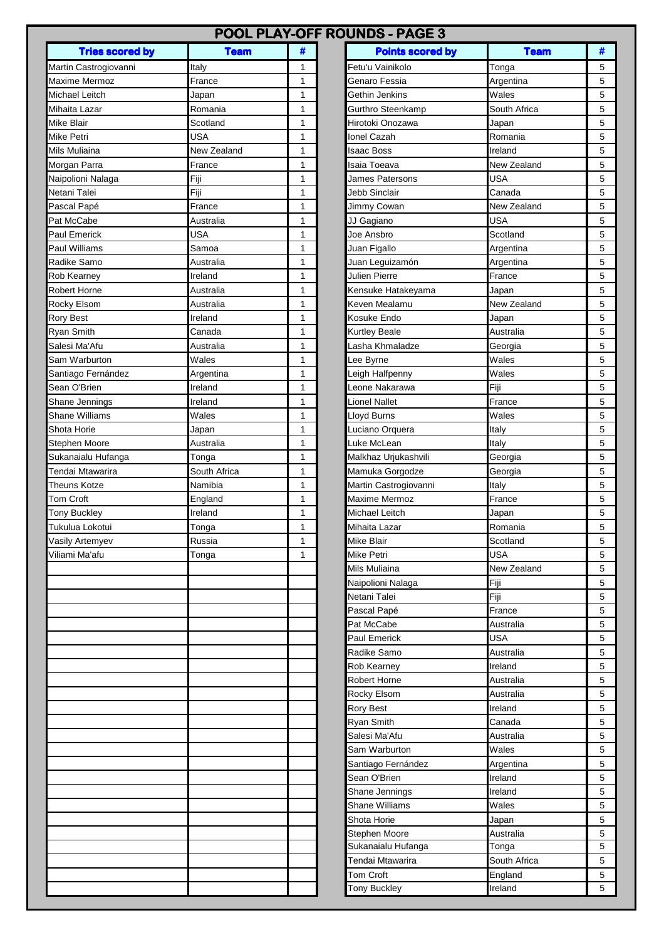|                        | POOL PLAY-OFF ROUNDS - PAGE 3 |              |                         |                    |   |  |
|------------------------|-------------------------------|--------------|-------------------------|--------------------|---|--|
| <b>Tries scored by</b> | <b>Team</b>                   | #            | <b>Points scored by</b> | <b>Team</b>        | # |  |
| Martin Castrogiovanni  | Italy                         | 1            | Fetu'u Vainikolo        | Tonga              | 5 |  |
| Maxime Mermoz          | France                        | $\mathbf{1}$ | Genaro Fessia           | Argentina          | 5 |  |
| Michael Leitch         | Japan                         | $\mathbf{1}$ | Gethin Jenkins          | Wales              | 5 |  |
| Mihaita Lazar          | Romania                       | 1            | Gurthro Steenkamp       | South Africa       | 5 |  |
| Mike Blair             | Scotland                      | 1            | Hirotoki Onozawa        | Japan              | 5 |  |
| Mike Petri             | USA                           | 1            | Ionel Cazah             | Romania            | 5 |  |
| Mils Muliaina          | New Zealand                   | 1            | Isaac Boss              | Ireland            | 5 |  |
| Morgan Parra           | France                        | $\mathbf{1}$ | Isaia Toeava            | New Zealand        | 5 |  |
| Naipolioni Nalaga      | Fiji                          | 1            | James Patersons         | <b>USA</b>         | 5 |  |
| Netani Talei           | Fiji                          | 1            | <b>Jebb Sinclair</b>    | Canada             | 5 |  |
| Pascal Papé            | France                        | $\mathbf{1}$ | Jimmy Cowan             | New Zealand        | 5 |  |
| Pat McCabe             | Australia                     | $\mathbf{1}$ | JJ Gagiano              | <b>USA</b>         | 5 |  |
| Paul Emerick           | USA                           | 1            | Joe Ansbro              | Scotland           | 5 |  |
| Paul Williams          | Samoa                         | 1            | Juan Figallo            | Argentina          | 5 |  |
| Radike Samo            | Australia                     | 1            | Juan Leguizamón         | Argentina          | 5 |  |
| Rob Kearney            | Ireland                       | 1            | Julien Pierre           | France             | 5 |  |
| <b>Robert Horne</b>    | Australia                     | 1            | Kensuke Hatakeyama      | Japan              | 5 |  |
| Rocky Elsom            | Australia                     | 1            | Keven Mealamu           | New Zealand        | 5 |  |
| <b>Rory Best</b>       | Ireland                       | 1            | Kosuke Endo             | Japan              | 5 |  |
| Ryan Smith             | Canada                        | $\mathbf{1}$ | <b>Kurtley Beale</b>    | Australia          | 5 |  |
| Salesi Ma'Afu          | Australia                     | 1            | Lasha Khmaladze         | Georgia            | 5 |  |
| Sam Warburton          | Wales                         | $\mathbf{1}$ | Lee Byrne               | Wales              | 5 |  |
| Santiago Fernández     | Argentina                     | $\mathbf{1}$ | Leigh Halfpenny         | Wales              | 5 |  |
| Sean O'Brien           | Ireland                       |              | Leone Nakarawa          | Fiji               |   |  |
|                        |                               | 1            |                         |                    | 5 |  |
| Shane Jennings         | Ireland                       | $\mathbf{1}$ | Lionel Nallet           | France             | 5 |  |
| Shane Williams         | Wales                         | 1            | Lloyd Burns             | Wales              | 5 |  |
| Shota Horie            | Japan                         | 1            | Luciano Orquera         | Italy              | 5 |  |
| Stephen Moore          | Australia                     | 1            | Luke McLean             | Italy              | 5 |  |
| Sukanaialu Hufanga     | Tonga                         | 1            | Malkhaz Urjukashvili    | Georgia            | 5 |  |
| Tendai Mtawarira       | South Africa                  | 1            | Mamuka Gorgodze         | Georgia            | 5 |  |
| <b>Theuns Kotze</b>    | Namibia                       | $\mathbf{1}$ | Martin Castrogiovanni   | Italy              | 5 |  |
| <b>Tom Croft</b>       | England                       | 1            | <b>Maxime Mermoz</b>    | France             | 5 |  |
| <b>Tony Buckley</b>    | Ireland                       | 1            | Michael Leitch          | Japan              | 5 |  |
| Tukulua Lokotui        | Tonga                         | 1            | Mihaita Lazar           | Romania            | 5 |  |
| Vasily Artemyev        | Russia                        | 1            | <b>Mike Blair</b>       | Scotland           | 5 |  |
| Viliami Ma'afu         | Tonga                         | 1            | <b>Mike Petri</b>       | <b>USA</b>         | 5 |  |
|                        |                               |              | Mils Muliaina           | <b>New Zealand</b> | 5 |  |
|                        |                               |              | Naipolioni Nalaga       | Fiji               | 5 |  |
|                        |                               |              | Netani Talei            | Fiji               | 5 |  |
|                        |                               |              | Pascal Papé             | France             | 5 |  |
|                        |                               |              | Pat McCabe              | Australia          | 5 |  |
|                        |                               |              | Paul Emerick            | <b>USA</b>         | 5 |  |
|                        |                               |              | Radike Samo             | Australia          | 5 |  |
|                        |                               |              | Rob Kearney             | Ireland            | 5 |  |
|                        |                               |              | Robert Horne            | Australia          | 5 |  |
|                        |                               |              | Rocky Elsom             | Australia          | 5 |  |
|                        |                               |              | <b>Rory Best</b>        | Ireland            | 5 |  |
|                        |                               |              | Ryan Smith              | Canada             | 5 |  |
|                        |                               |              | Salesi Ma'Afu           | Australia          | 5 |  |
|                        |                               |              | Sam Warburton           | Wales              | 5 |  |
|                        |                               |              | Santiago Fernández      | Argentina          | 5 |  |
|                        |                               |              | Sean O'Brien            | Ireland            | 5 |  |
|                        |                               |              |                         |                    | 5 |  |
|                        |                               |              | Shane Jennings          | Ireland            |   |  |
|                        |                               |              | <b>Shane Williams</b>   | Wales              | 5 |  |
|                        |                               |              | Shota Horie             | Japan              | 5 |  |
|                        |                               |              | Stephen Moore           | Australia          | 5 |  |
|                        |                               |              | Sukanaialu Hufanga      | Tonga              | 5 |  |
|                        |                               |              | Tendai Mtawarira        | South Africa       | 5 |  |
|                        |                               |              | Tom Croft               | England            | 5 |  |
|                        |                               |              | Tony Buckley            | Ireland            | 5 |  |